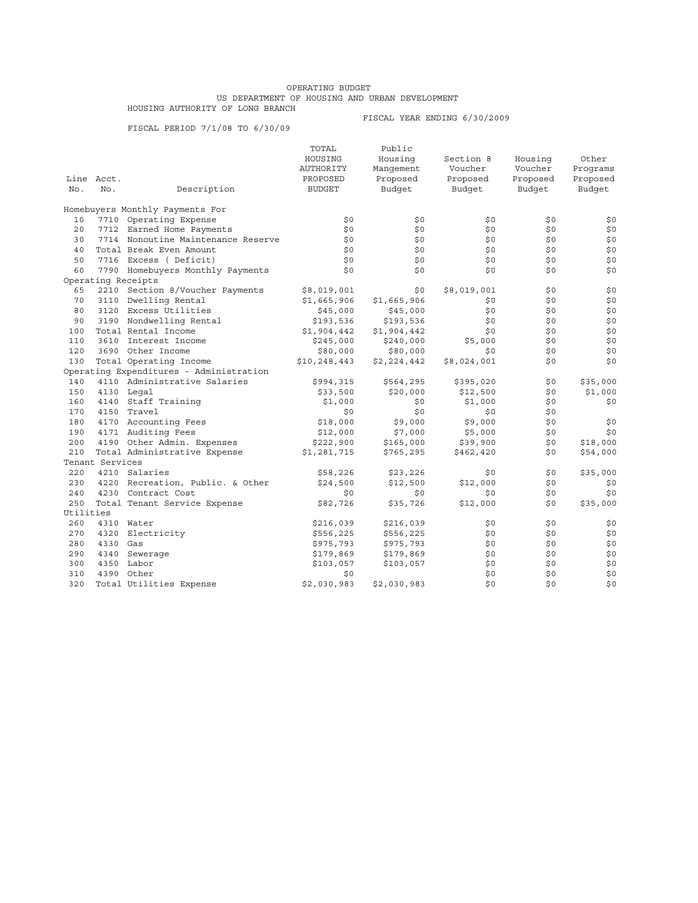## OPERATING BUDGET US DEPARTMENT OF HOUSING AND URBAN DEVELOPMENT HOUSING AUTHORITY OF LONG BRANCH

FISCAL PERIOD 7/1/08 TO 6/30/09

## FISCAL YEAR ENDING 6/30/2009

|           |                 |                                         | TOTAL         | Public      |             |          |          |
|-----------|-----------------|-----------------------------------------|---------------|-------------|-------------|----------|----------|
|           |                 |                                         | HOUSING       | Housing     | Section 8   | Housing  | Other    |
|           |                 |                                         | AUTHORITY     | Manqement   | Voucher     | Voucher  | Programs |
|           | Line Acct.      |                                         | PROPOSED      | Proposed    | Proposed    | Proposed | Proposed |
| No.       | No.             | Description                             | <b>BUDGET</b> | Budget      | Budget      | Budget   | Budget   |
|           |                 | Homebuyers Monthly Payments For         |               |             |             |          |          |
| 10        |                 | 7710 Operating Expense                  | \$0           | \$0         | \$0         | \$0      | \$0      |
| 20        |                 | 7712 Earned Home Payments               | \$0           | \$0         | \$0         | \$0      | \$0      |
| 30        |                 | 7714 Nonoutine Maintenance Reserve      | \$0           | \$0         | \$0         | \$0      | \$0      |
| 40        |                 | Total Break Even Amount                 | \$0           | \$0         | \$0         | \$0      | \$0      |
| 50        |                 | 7716 Excess (Deficit)                   | \$0           | \$0         | \$0         | \$0      | \$0      |
| 60        |                 | 7790 Homebuyers Monthly Payments        | \$0           | \$0         | \$0         | \$0      | \$0      |
|           |                 | Operating Receipts                      |               |             |             |          |          |
| 65        |                 | 2210 Section 8/Voucher Payments         | \$8,019,001   | \$0         | \$8,019,001 | \$0      | \$0      |
| 70        |                 | 3110 Dwelling Rental                    | \$1,665,906   | \$1,665,906 | \$0         | \$0      | \$0      |
|           |                 |                                         |               |             |             |          |          |
| 80        |                 | 3120 Excess Utilities                   | \$45,000      | \$45,000    | \$0         | \$0      | \$0      |
| 90        |                 | 3190 Nondwelling Rental                 | \$193,536     | \$193,536   | \$0         | \$0      | \$0      |
| 100       |                 | Total Rental Income                     | \$1,904,442   | \$1,904,442 | \$0         | \$0      | \$0      |
| 110       |                 | 3610 Interest Income                    | \$245,000     | \$240,000   | \$5,000     | \$0      | \$0      |
| 120       |                 | 3690 Other Income                       | \$80,000      | \$80,000    | \$0         | \$0      | \$0      |
| 130       |                 | Total Operating Income                  | \$10,248,443  | \$2,224,442 | \$8,024,001 | \$0      | \$0      |
|           |                 | Operating Expenditures - Administration |               |             |             |          |          |
| 140       |                 | 4110 Administrative Salaries            | \$994,315     | \$564,295   | \$395,020   | \$0      | \$35,000 |
| 150       |                 | 4130 Legal                              | \$33,500      | \$20,000    | \$12,500    | \$0      | \$1,000  |
| 160       |                 | 4140 Staff Training                     | \$1,000       | \$0         | \$1,000     | \$0      | \$0      |
| 170       |                 | 4150 Travel                             | \$0           | \$0         | \$0         | \$0      |          |
| 180       |                 | 4170 Accounting Fees                    | \$18,000      | \$9,000     | \$9,000     | \$0      | \$0      |
| 190       |                 | 4171 Auditing Fees                      | \$12,000      | \$7,000     | \$5,000     | \$0      | \$0      |
| 200       |                 | 4190 Other Admin. Expenses              | \$222,900     | \$165,000   | \$39,900    | \$0      | \$18,000 |
| 210       |                 | Total Administrative Expense            | \$1,281,715   | \$765, 295  | \$462,420   | \$0      | \$54,000 |
|           | Tenant Services |                                         |               |             |             |          |          |
| 220       |                 | 4210 Salaries                           | \$58,226      | \$23,226    | \$0         | \$0      | \$35,000 |
| 230       |                 | 4220 Recreation, Public. & Other        | \$24,500      | \$12,500    | \$12,000    | \$0      | \$0      |
| 240       |                 | 4230 Contract Cost                      | \$0           | \$0         | \$0         | \$0      | \$0      |
| 250       |                 | Total Tenant Service Expense            | \$82,726      | \$35,726    | \$12,000    | \$0      | \$35,000 |
| Utilities |                 |                                         |               |             |             |          |          |
| 260       |                 | 4310 Water                              | \$216,039     | \$216,039   | \$0         | \$0      | \$0      |
| 270       |                 | 4320 Electricity                        | \$556,225     | \$556,225   | \$0         | \$0      | \$0      |
| 280       | 4330 Gas        |                                         | \$975,793     | \$975,793   | \$0         | \$0      | \$0      |
| 290       |                 | 4340 Sewerage                           | \$179,869     | \$179,869   | \$0         | \$0      | \$0      |
| 300       |                 | 4350 Labor                              | \$103,057     | \$103,057   | \$0         | \$0      | \$0      |
| 310       |                 | 4390 Other                              | \$0           |             | \$0         | \$0      | \$0      |
| 320       |                 | Total Utilities Expense                 | \$2,030,983   | \$2,030,983 | \$0         | \$0\$    | \$0      |
|           |                 |                                         |               |             |             |          |          |